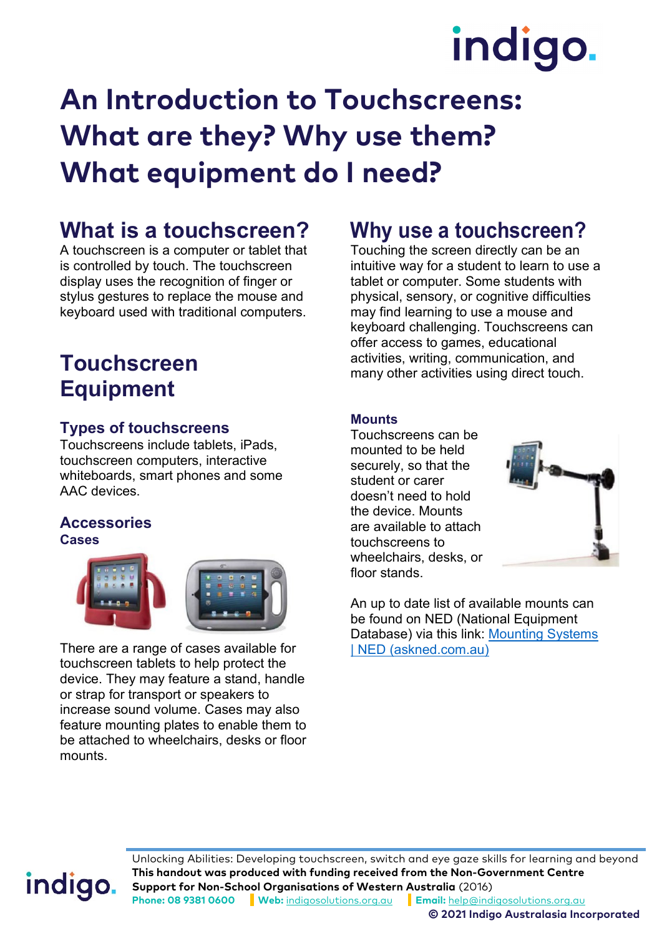# indigo.

## **An Introduction to Touchscreens: What are they? Why use them? What equipment do I need?**

### **What is a touchscreen?**

A touchscreen is a computer or tablet that is controlled by touch. The touchscreen display uses the recognition of finger or stylus gestures to replace the mouse and keyboard used with traditional computers.

### **Touchscreen Equipment**

### **Types of touchscreens**

Touchscreens include tablets, iPads, touchscreen computers, interactive whiteboards, smart phones and some AAC devices.

#### **Accessories Cases**



There are a range of cases available for touchscreen tablets to help protect the device. They may feature a stand, handle or strap for transport or speakers to increase sound volume. Cases may also feature mounting plates to enable them to be attached to wheelchairs, desks or floor mounts.

### **Why use a touchscreen?**

Touching the screen directly can be an intuitive way for a student to learn to use a tablet or computer. Some students with physical, sensory, or cognitive difficulties may find learning to use a mouse and keyboard challenging. Touchscreens can offer access to games, educational activities, writing, communication, and many other activities using direct touch.

### **Mounts**

Touchscreens can be mounted to be held securely, so that the student or carer doesn't need to hold the device. Mounts are available to attach touchscreens to wheelchairs, desks, or floor stands.



An up to date list of available mounts can be found on NED (National Equipment Database) via this link: [Mounting Systems](https://www.askned.com.au/communication-speak-read-and-listen-en/mounting-systems/)  [| NED \(askned.com.au\)](https://www.askned.com.au/communication-speak-read-and-listen-en/mounting-systems/)

## indigo.

Unlocking Abilities: Developing touchscreen, switch and eye gaze skills for learning and beyond **This handout was produced with funding received from the Non-Government Centre Support for Non-School Organisations of Western Australia** (2016) **Phone: 08 9381 0600 Web:** [indigosolutions.org.au](https://www.indigosolutions.org.au/) **Email:** [help@indigosolutions.org.au](mailto:help@indigosolutions.org.au)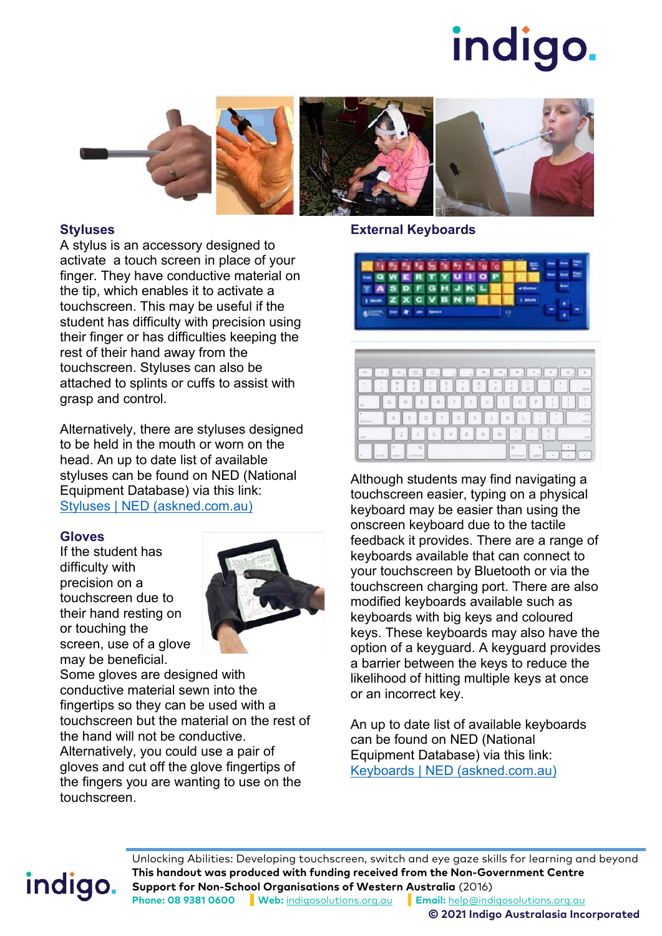# indigo.



#### **Styluses**

A stylus is an accessory designed to activate a touch screen in place of your finger. They have conductive material on the tip, which enables it to activate a touchscreen. This may be useful if the student has difficulty with precision using their finger or has difficulties keeping the rest of their hand away from the touchscreen. Styluses can also be attached to splints or cuffs to assist with grasp and control.

Alternatively, there are styluses designed to be held in the mouth or worn on the head. An up to date list of available styluses can be found on NED (National Equipment Database) via this link: [Styluses | NED \(askned.com.au\)](https://www.askned.com.au/telephones-intercoms-and-call-systems-en/mobile-phones/accessories-for-tablets-and-smartphones/styluses/)

### **Gloves**

If the student has difficulty with precision on a touchscreen due to their hand resting on or touching the screen, use of a glove may be beneficial.



Some gloves are designed with conductive material sewn into the fingertips so they can be used with a touchscreen but the material on the rest of the hand will not be conductive. Alternatively, you could use a pair of gloves and cut off the glove fingertips of the fingers you are wanting to use on the touchscreen.

#### **External Keyboards**





Although students may find navigating a touchscreen easier, typing on a physical keyboard may be easier than using the onscreen keyboard due to the tactile feedback it provides. There are a range of keyboards available that can connect to your touchscreen by Bluetooth or via the touchscreen charging port. There are also modified keyboards available such as keyboards with big keys and coloured keys. These keyboards may also have the option of a keyguard. A keyguard provides a barrier between the keys to reduce the likelihood of hitting multiple keys at once or an incorrect key.

An up to date list of available keyboards can be found on NED (National Equipment Database) via this link: [Keyboards | NED \(askned.com.au\)](https://www.askned.com.au/computer-access-en/keyboards/)

## indigo.

Unlocking Abilities: Developing touchscreen, switch and eye gaze skills for learning and beyond **This handout was produced with funding received from the Non-Government Centre Support for Non-School Organisations of Western Australia** (2016) **Phone: 08 9381 0600 Web:** [indigosolutions.org.au](https://www.indigosolutions.org.au/) **Email:** [help@indigosolutions.org.au](mailto:help@indigosolutions.org.au)